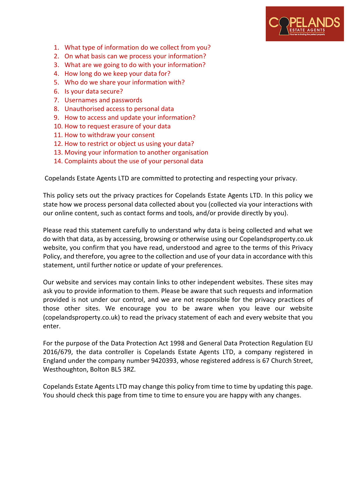

- 1. [What type of information do we collect from you?](https://jamesanderson.co.uk/privacy-policy/#informationcollect)
- 2. [On what basis can we process your information?](https://jamesanderson.co.uk/privacy-policy/#processdata)
- 3. [What are we going to do with your information?](https://jamesanderson.co.uk/privacy-policy/#whattodoinfo)
- 4. [How long do we keep your data for?](https://jamesanderson.co.uk/privacy-policy/#longkeepdata)
- 5. [Who do we share your information with?](https://jamesanderson.co.uk/privacy-policy/#dowesharedata)
- 6. [Is your data secure?](https://jamesanderson.co.uk/privacy-policy/#datasecure)
- 7. [Usernames and passwords](https://jamesanderson.co.uk/privacy-policy/#usernames)
- 8. [Unauthorised access to personal data](https://jamesanderson.co.uk/privacy-policy/#unauthorised)
- 9. [How to access and update your information?](https://jamesanderson.co.uk/privacy-policy/#accessinfo)
- 10. [How to request erasure of your data](https://jamesanderson.co.uk/privacy-policy/#erasuredata)
- 11. [How to withdraw your consent](https://jamesanderson.co.uk/privacy-policy/#withdrawconsent)
- 12. [How to restrict or object us using your data?](https://jamesanderson.co.uk/privacy-policy/#restrictusingdata)
- 13. [Moving your information to another organisation](https://jamesanderson.co.uk/privacy-policy/#movedata)
- 14. [Complaints about the use of your personal data](https://jamesanderson.co.uk/privacy-policy/#datacomplaints)

Copelands Estate Agents LTD are committed to protecting and respecting your privacy.

This policy sets out the privacy practices for Copelands Estate Agents LTD. In this policy we state how we process personal data collected about you (collected via your interactions with our online content, such as contact forms and tools, and/or provide directly by you).

Please read this statement carefully to understand why data is being collected and what we do with that data, as by accessing, browsing or otherwise using our Copelandsproperty.co.uk website, you confirm that you have read, understood and agree to the terms of this Privacy Policy, and therefore, you agree to the collection and use of your data in accordance with this statement, until further notice or update of your preferences.

Our website and services may contain links to other independent websites. These sites may ask you to provide information to them. Please be aware that such requests and information provided is not under our control, and we are not responsible for the privacy practices of those other sites. We encourage you to be aware when you leave our website (copelandsproperty.co.uk) to read the privacy statement of each and every website that you enter.

For the purpose of the Data Protection Act 1998 and General Data Protection Regulation EU 2016/679, the data controller is Copelands Estate Agents LTD, a company registered in England under the company number 9420393, whose registered address is 67 Church Street, Westhoughton, Bolton BL5 3RZ.

Copelands Estate Agents LTD may change this policy from time to time by updating this page. You should check this page from time to time to ensure you are happy with any changes.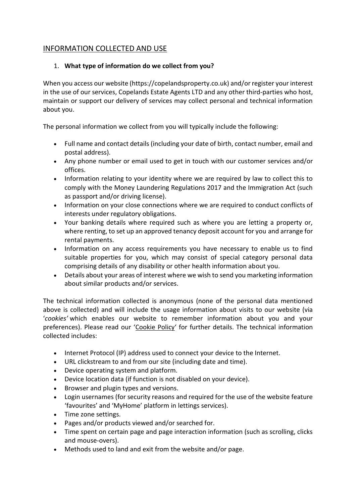# INFORMATION COLLECTED AND USE

## 1. **What type of information do we collect from you?**

When you access our website (https://copelandsproperty.co.uk) and/or register your interest in the use of our services, Copelands Estate Agents LTD and any other third-parties who host, maintain or support our delivery of services may collect personal and technical information about you.

The personal information we collect from you will typically include the following:

- Full name and contact details (including your date of birth, contact number, email and postal address).
- Any phone number or email used to get in touch with our customer services and/or offices.
- Information relating to your identity where we are required by law to collect this to comply with the Money Laundering Regulations 2017 and the Immigration Act (such as passport and/or driving license).
- Information on your close connections where we are required to conduct conflicts of interests under regulatory obligations.
- Your banking details where required such as where you are letting a property or, where renting, to set up an approved tenancy deposit account for you and arrange for rental payments.
- Information on any access requirements you have necessary to enable us to find suitable properties for you, which may consist of special category personal data comprising details of any disability or other health information about you.
- Details about your areas of interest where we wish to send you marketing information about similar products and/or services.

The technical information collected is anonymous (none of the personal data mentioned above is collected) and will include the usage information about visits to our website (via '*cookies'* which enables our website to remember information about you and your preferences). Please read our '[Cookie Policy](https://jamesanderson.co.uk/cookies/)' for further details. The technical information collected includes:

- Internet Protocol (IP) address used to connect your device to the Internet.
- URL clickstream to and from our site (including date and time).
- Device operating system and platform.
- Device location data (if function is not disabled on your device).
- Browser and plugin types and versions.
- Login usernames (for security reasons and required for the use of the website feature 'favourites' and 'MyHome' platform in lettings services).
- Time zone settings.
- Pages and/or products viewed and/or searched for.
- Time spent on certain page and page interaction information (such as scrolling, clicks and mouse-overs).
- Methods used to land and exit from the website and/or page.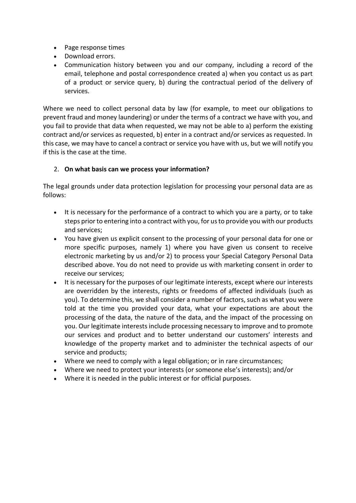- Page response times
- Download errors.
- Communication history between you and our company, including a record of the email, telephone and postal correspondence created a) when you contact us as part of a product or service query, b) during the contractual period of the delivery of services.

Where we need to collect personal data by law (for example, to meet our obligations to prevent fraud and money laundering) or under the terms of a contract we have with you, and you fail to provide that data when requested, we may not be able to a) perform the existing contract and/or services as requested, b) enter in a contract and/or services as requested. In this case, we may have to cancel a contract or service you have with us, but we will notify you if this is the case at the time.

## 2. **On what basis can we process your information?**

The legal grounds under data protection legislation for processing your personal data are as follows:

- It is necessary for the performance of a contract to which you are a party, or to take steps prior to entering into a contract with you, for us to provide you with our products and services;
- You have given us explicit consent to the processing of your personal data for one or more specific purposes, namely 1) where you have given us consent to receive electronic marketing by us and/or 2) to process your Special Category Personal Data described above. You do not need to provide us with marketing consent in order to receive our services;
- It is necessary for the purposes of our legitimate interests, except where our interests are overridden by the interests, rights or freedoms of affected individuals (such as you). To determine this, we shall consider a number of factors, such as what you were told at the time you provided your data, what your expectations are about the processing of the data, the nature of the data, and the impact of the processing on you. Our legitimate interests include processing necessary to improve and to promote our services and product and to better understand our customers' interests and knowledge of the property market and to administer the technical aspects of our service and products;
- Where we need to comply with a legal obligation; or in rare circumstances;
- Where we need to protect your interests (or someone else's interests); and/or
- Where it is needed in the public interest or for official purposes.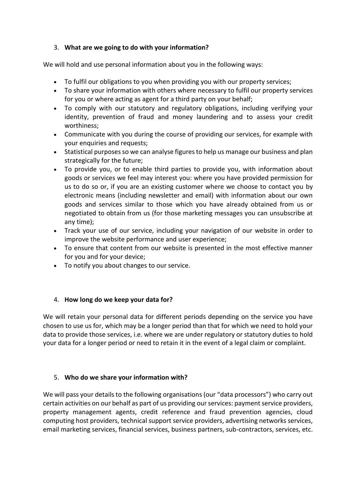## 3. **What are we going to do with your information?**

We will hold and use personal information about you in the following ways:

- To fulfil our obligations to you when providing you with our property services;
- To share your information with others where necessary to fulfil our property services for you or where acting as agent for a third party on your behalf;
- To comply with our statutory and regulatory obligations, including verifying your identity, prevention of fraud and money laundering and to assess your credit worthiness;
- Communicate with you during the course of providing our services, for example with your enquiries and requests;
- Statistical purposes so we can analyse figures to help us manage our business and plan strategically for the future;
- To provide you, or to enable third parties to provide you, with information about goods or services we feel may interest you: where you have provided permission for us to do so or, if you are an existing customer where we choose to contact you by electronic means (including newsletter and email) with information about our own goods and services similar to those which you have already obtained from us or negotiated to obtain from us (for those marketing messages you can unsubscribe at any time);
- Track your use of our service, including your navigation of our website in order to improve the website performance and user experience;
- To ensure that content from our website is presented in the most effective manner for you and for your device;
- To notify you about changes to our service.

## 4. **How long do we keep your data for?**

We will retain your personal data for different periods depending on the service you have chosen to use us for, which may be a longer period than that for which we need to hold your data to provide those services, i.e. where we are under regulatory or statutory duties to hold your data for a longer period or need to retain it in the event of a legal claim or complaint.

## 5. **Who do we share your information with?**

We will pass your details to the following organisations (our "data processors") who carry out certain activities on our behalf as part of us providing our services: payment service providers, property management agents, credit reference and fraud prevention agencies, cloud computing host providers, technical support service providers, advertising networks services, email marketing services, financial services, business partners, sub-contractors, services, etc.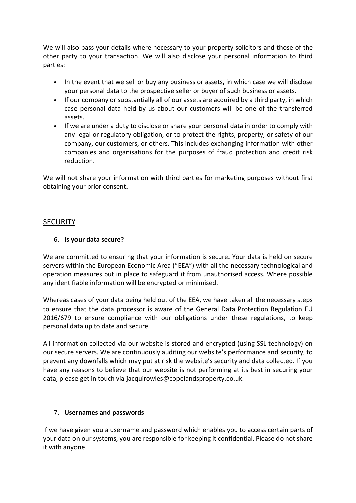We will also pass your details where necessary to your property solicitors and those of the other party to your transaction. We will also disclose your personal information to third parties:

- In the event that we sell or buy any business or assets, in which case we will disclose your personal data to the prospective seller or buyer of such business or assets.
- If our company or substantially all of our assets are acquired by a third party, in which case personal data held by us about our customers will be one of the transferred assets.
- If we are under a duty to disclose or share your personal data in order to comply with any legal or regulatory obligation, or to protect the rights, property, or safety of our company, our customers, or others. This includes exchanging information with other companies and organisations for the purposes of fraud protection and credit risk reduction.

We will not share your information with third parties for marketing purposes without first obtaining your prior consent.

# **SECURITY**

## 6. **Is your data secure?**

We are committed to ensuring that your information is secure. Your data is held on secure servers within the European Economic Area ("EEA") with all the necessary technological and operation measures put in place to safeguard it from unauthorised access. Where possible any identifiable information will be encrypted or minimised.

Whereas cases of your data being held out of the EEA, we have taken all the necessary steps to ensure that the data processor is aware of the General Data Protection Regulation EU 2016/679 to ensure compliance with our obligations under these regulations, to keep personal data up to date and secure.

All information collected via our website is stored and encrypted (using SSL technology) on our secure servers. We are continuously auditing our website's performance and security, to prevent any downfalls which may put at risk the website's security and data collected. If you have any reasons to believe that our website is not performing at its best in securing your data, please get in touch via jacquirowles@copelandsproperty.co.uk.

## 7. **Usernames and passwords**

If we have given you a username and password which enables you to access certain parts of your data on our systems, you are responsible for keeping it confidential. Please do not share it with anyone.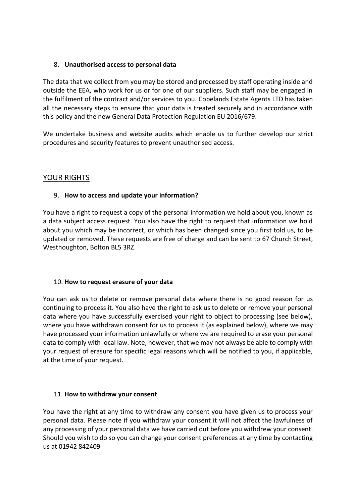### 8. **Unauthorised access to personal data**

The data that we collect from you may be stored and processed by staff operating inside and outside the EEA, who work for us or for one of our suppliers. Such staff may be engaged in the fulfilment of the contract and/or services to you. Copelands Estate Agents LTD has taken all the necessary steps to ensure that your data is treated securely and in accordance with this policy and the new General Data Protection Regulation EU 2016/679.

We undertake business and website audits which enable us to further develop our strict procedures and security features to prevent unauthorised access.

## YOUR RIGHTS

## 9. **How to access and update your information?**

You have a right to request a copy of the personal information we hold about you, known as a data subject access request. You also have the right to request that information we hold about you which may be incorrect, or which has been changed since you first told us, to be updated or removed. These requests are free of charge and can be sent to 67 Church Street, Westhoughton, Bolton BL5 3RZ.

#### 10. **How to request erasure of your data**

You can ask us to delete or remove personal data where there is no good reason for us continuing to process it. You also have the right to ask us to delete or remove your personal data where you have successfully exercised your right to object to processing (see below), where you have withdrawn consent for us to process it (as explained below), where we may have processed your information unlawfully or where we are required to erase your personal data to comply with local law. Note, however, that we may not always be able to comply with your request of erasure for specific legal reasons which will be notified to you, if applicable, at the time of your request.

#### 11. **How to withdraw your consent**

You have the right at any time to withdraw any consent you have given us to process your personal data. Please note if you withdraw your consent it will not affect the lawfulness of any processing of your personal data we have carried out before you withdrew your consent. Should you wish to do so you can change your consent preferences at any time by contacting us at 01942 842409